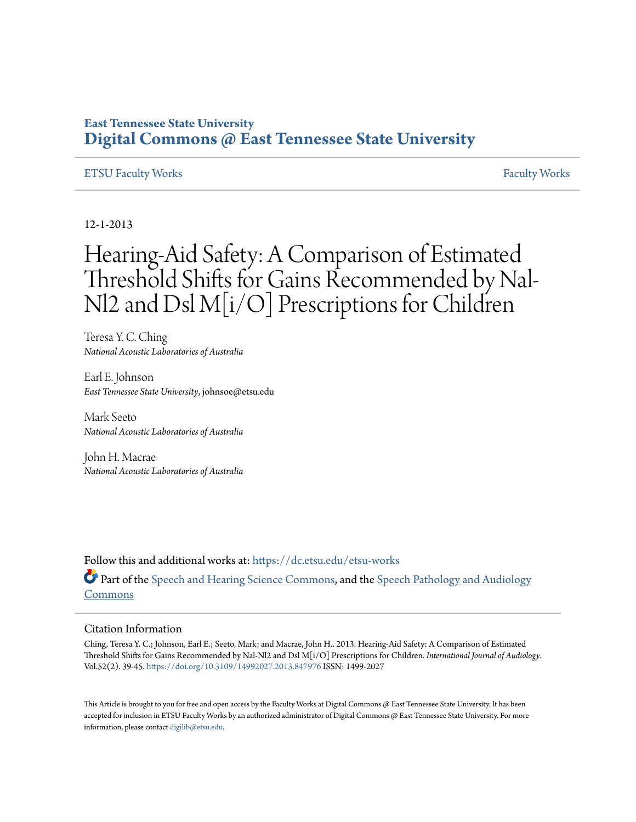## **East Tennessee State University [Digital Commons @ East Tennessee State University](https://dc.etsu.edu?utm_source=dc.etsu.edu%2Fetsu-works%2F1704&utm_medium=PDF&utm_campaign=PDFCoverPages)**

#### [ETSU Faculty Works](https://dc.etsu.edu/etsu-works?utm_source=dc.etsu.edu%2Fetsu-works%2F1704&utm_medium=PDF&utm_campaign=PDFCoverPages) [Faculty Works](https://dc.etsu.edu/faculty-works?utm_source=dc.etsu.edu%2Fetsu-works%2F1704&utm_medium=PDF&utm_campaign=PDFCoverPages)

12-1-2013

# Hearing-Aid Safety: A Comparison of Estimated Threshold Shifts for Gains Recommended by Nal-Nl2 and Dsl M[i/O] Prescriptions for Children

Teresa Y. C. Ching *National Acoustic Laboratories of Australia*

Earl E. Johnson *East Tennessee State University*, johnsoe@etsu.edu

Mark Seeto *National Acoustic Laboratories of Australia*

John H. Macrae *National Acoustic Laboratories of Australia*

Follow this and additional works at: [https://dc.etsu.edu/etsu-works](https://dc.etsu.edu/etsu-works?utm_source=dc.etsu.edu%2Fetsu-works%2F1704&utm_medium=PDF&utm_campaign=PDFCoverPages) Part of the [Speech and Hearing Science Commons](http://network.bepress.com/hgg/discipline/1033?utm_source=dc.etsu.edu%2Fetsu-works%2F1704&utm_medium=PDF&utm_campaign=PDFCoverPages), and the [Speech Pathology and Audiology](http://network.bepress.com/hgg/discipline/1035?utm_source=dc.etsu.edu%2Fetsu-works%2F1704&utm_medium=PDF&utm_campaign=PDFCoverPages) [Commons](http://network.bepress.com/hgg/discipline/1035?utm_source=dc.etsu.edu%2Fetsu-works%2F1704&utm_medium=PDF&utm_campaign=PDFCoverPages)

#### Citation Information

Ching, Teresa Y. C.; Johnson, Earl E.; Seeto, Mark; and Macrae, John H.. 2013. Hearing-Aid Safety: A Comparison of Estimated Threshold Shifts for Gains Recommended by Nal-Nl2 and Dsl M[i/O] Prescriptions for Children. *International Journal of Audiology*. Vol.52(2). 39-45. <https://doi.org/10.3109/14992027.2013.847976> ISSN: 1499-2027

This Article is brought to you for free and open access by the Faculty Works at Digital Commons  $\varpi$  East Tennessee State University. It has been accepted for inclusion in ETSU Faculty Works by an authorized administrator of Digital Commons @ East Tennessee State University. For more information, please contact [digilib@etsu.edu.](mailto:digilib@etsu.edu)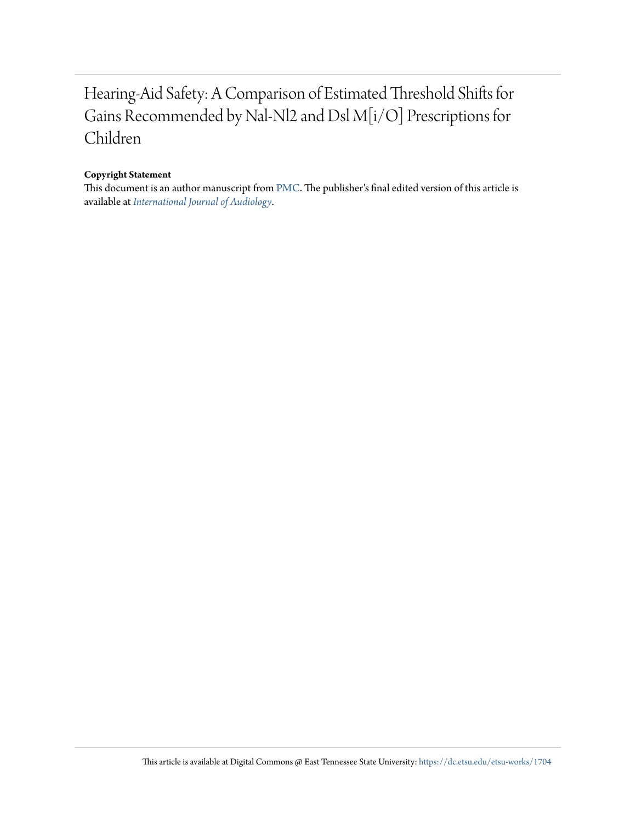# Hearing-Aid Safety: A Comparison of Estimated Threshold Shifts for Gains Recommended by Nal-Nl2 and Dsl M[i/O] Prescriptions for Children

#### **Copyright Statement**

This document is an author manuscript from [PMC.](https://www.ncbi.nlm.nih.gov/pmc/articles/PMC3876025/) The publisher's final edited version of this article is available at *[International Journal of Audiology](https://doi.org/10.3109/14992027.2013.847976)*.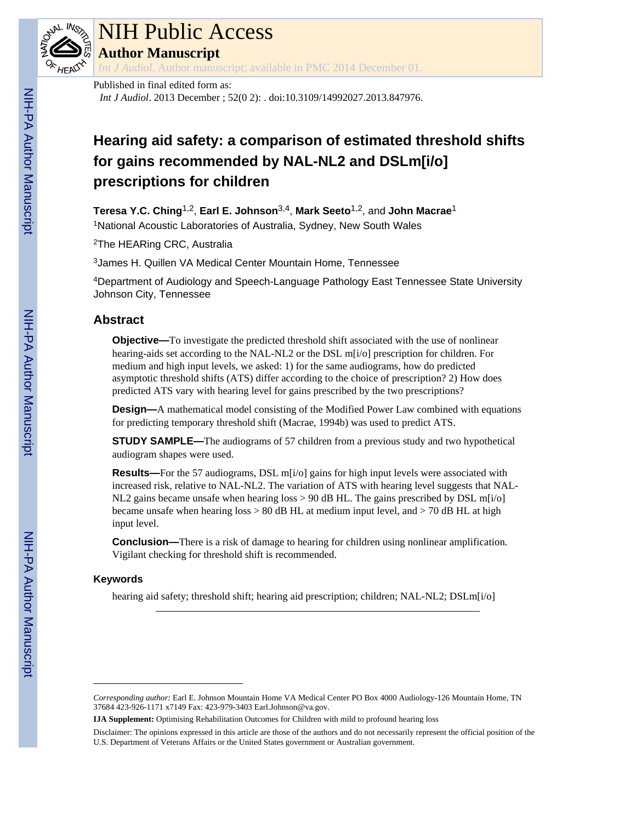

# NIH Public Access

**Author Manuscript**

*Int J Audiol*. Author manuscript; available in PMC 2014 December 01.

Published in final edited form as:

*Int J Audiol*. 2013 December ; 52(0 2): . doi:10.3109/14992027.2013.847976.

# **Hearing aid safety: a comparison of estimated threshold shifts for gains recommended by NAL-NL2 and DSLm[i/o] prescriptions for children**

**Teresa Y.C. Ching**1,2, **Earl E. Johnson**3,4, **Mark Seeto**1,2, and **John Macrae**<sup>1</sup> <sup>1</sup>National Acoustic Laboratories of Australia, Sydney, New South Wales

<sup>2</sup>The HEARing CRC, Australia

<sup>3</sup>James H. Quillen VA Medical Center Mountain Home, Tennessee

<sup>4</sup>Department of Audiology and Speech-Language Pathology East Tennessee State University Johnson City, Tennessee

## **Abstract**

**Objective—**To investigate the predicted threshold shift associated with the use of nonlinear hearing-aids set according to the NAL-NL2 or the DSL m[i/o] prescription for children. For medium and high input levels, we asked: 1) for the same audiograms, how do predicted asymptotic threshold shifts (ATS) differ according to the choice of prescription? 2) How does predicted ATS vary with hearing level for gains prescribed by the two prescriptions?

**Design—**A mathematical model consisting of the Modified Power Law combined with equations for predicting temporary threshold shift (Macrae, 1994b) was used to predict ATS.

**STUDY SAMPLE—**The audiograms of 57 children from a previous study and two hypothetical audiogram shapes were used.

**Results—**For the 57 audiograms, DSL m[i/o] gains for high input levels were associated with increased risk, relative to NAL-NL2. The variation of ATS with hearing level suggests that NAL-NL2 gains became unsafe when hearing  $loss > 90$  dB HL. The gains prescribed by DSL m[ $i$ /o] became unsafe when hearing  $loss > 80$  dB HL at medium input level, and  $> 70$  dB HL at high input level.

**Conclusion—**There is a risk of damage to hearing for children using nonlinear amplification. Vigilant checking for threshold shift is recommended.

### **Keywords**

hearing aid safety; threshold shift; hearing aid prescription; children; NAL-NL2; DSLm[i/o]

*Corresponding author:* Earl E. Johnson Mountain Home VA Medical Center PO Box 4000 Audiology-126 Mountain Home, TN 37684 423-926-1171 x7149 Fax: 423-979-3403 Earl.Johnson@va.gov.

**IJA Supplement:** Optimising Rehabilitation Outcomes for Children with mild to profound hearing loss

Disclaimer: The opinions expressed in this article are those of the authors and do not necessarily represent the official position of the U.S. Department of Veterans Affairs or the United States government or Australian government.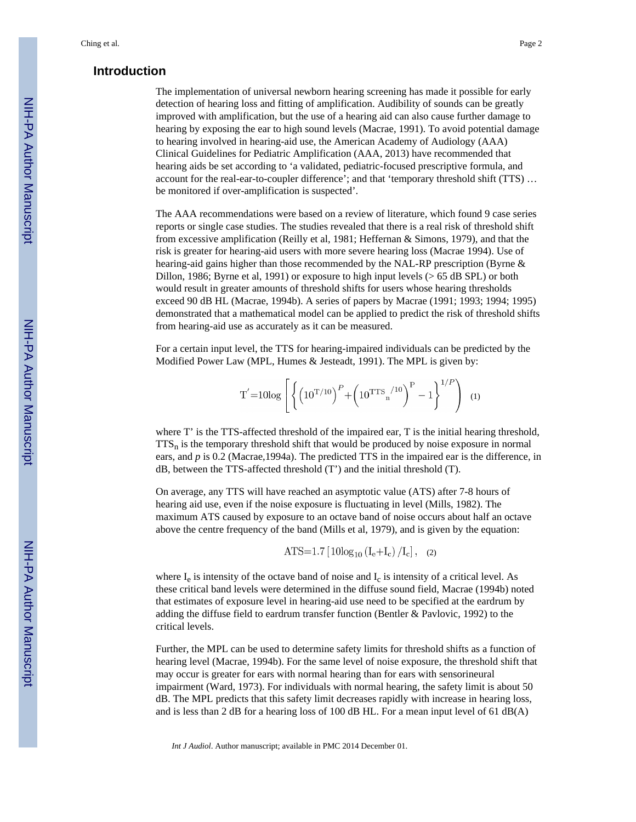#### **Introduction**

The implementation of universal newborn hearing screening has made it possible for early detection of hearing loss and fitting of amplification. Audibility of sounds can be greatly improved with amplification, but the use of a hearing aid can also cause further damage to hearing by exposing the ear to high sound levels (Macrae, 1991). To avoid potential damage to hearing involved in hearing-aid use, the American Academy of Audiology (AAA) Clinical Guidelines for Pediatric Amplification (AAA, 2013) have recommended that hearing aids be set according to 'a validated, pediatric-focused prescriptive formula, and account for the real-ear-to-coupler difference'; and that 'temporary threshold shift (TTS) … be monitored if over-amplification is suspected'.

The AAA recommendations were based on a review of literature, which found 9 case series reports or single case studies. The studies revealed that there is a real risk of threshold shift from excessive amplification (Reilly et al, 1981; Heffernan & Simons, 1979), and that the risk is greater for hearing-aid users with more severe hearing loss (Macrae 1994). Use of hearing-aid gains higher than those recommended by the NAL-RP prescription (Byrne & Dillon, 1986; Byrne et al, 1991) or exposure to high input levels (> 65 dB SPL) or both would result in greater amounts of threshold shifts for users whose hearing thresholds exceed 90 dB HL (Macrae, 1994b). A series of papers by Macrae (1991; 1993; 1994; 1995) demonstrated that a mathematical model can be applied to predict the risk of threshold shifts from hearing-aid use as accurately as it can be measured.

For a certain input level, the TTS for hearing-impaired individuals can be predicted by the Modified Power Law (MPL, Humes & Jesteadt, 1991). The MPL is given by:

$$
T' = 10\log \left[ \left\{ \left( 10^{T/10} \right)^P + \left( 10^{TTS} \right)^{10} \right)^P - 1 \right\}^{1/P} \right] (1)
$$

where T' is the TTS-affected threshold of the impaired ear, T is the initial hearing threshold,  $TTS<sub>n</sub>$  is the temporary threshold shift that would be produced by noise exposure in normal ears, and *p* is 0.2 (Macrae,1994a). The predicted TTS in the impaired ear is the difference, in dB, between the TTS-affected threshold (T') and the initial threshold (T).

On average, any TTS will have reached an asymptotic value (ATS) after 7-8 hours of hearing aid use, even if the noise exposure is fluctuating in level (Mills, 1982). The maximum ATS caused by exposure to an octave band of noise occurs about half an octave above the centre frequency of the band (Mills et al, 1979), and is given by the equation:

$$
ATS=1.7\left[10\log_{10}\left(I_e+I_c\right)/I_c\right], (2)
$$

where  $I_e$  is intensity of the octave band of noise and  $I_c$  is intensity of a critical level. As these critical band levels were determined in the diffuse sound field, Macrae (1994b) noted that estimates of exposure level in hearing-aid use need to be specified at the eardrum by adding the diffuse field to eardrum transfer function (Bentler & Pavlovic, 1992) to the critical levels.

Further, the MPL can be used to determine safety limits for threshold shifts as a function of hearing level (Macrae, 1994b). For the same level of noise exposure, the threshold shift that may occur is greater for ears with normal hearing than for ears with sensorineural impairment (Ward, 1973). For individuals with normal hearing, the safety limit is about 50 dB. The MPL predicts that this safety limit decreases rapidly with increase in hearing loss, and is less than 2 dB for a hearing loss of 100 dB HL. For a mean input level of 61 dB(A)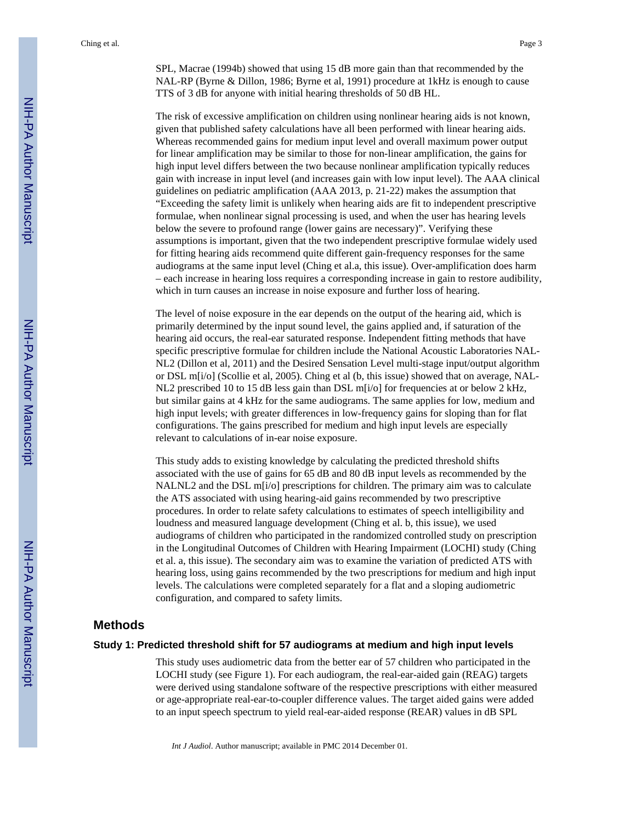SPL, Macrae (1994b) showed that using 15 dB more gain than that recommended by the NAL-RP (Byrne & Dillon, 1986; Byrne et al, 1991) procedure at 1kHz is enough to cause TTS of 3 dB for anyone with initial hearing thresholds of 50 dB HL.

The risk of excessive amplification on children using nonlinear hearing aids is not known, given that published safety calculations have all been performed with linear hearing aids. Whereas recommended gains for medium input level and overall maximum power output for linear amplification may be similar to those for non-linear amplification, the gains for high input level differs between the two because nonlinear amplification typically reduces gain with increase in input level (and increases gain with low input level). The AAA clinical guidelines on pediatric amplification (AAA 2013, p. 21-22) makes the assumption that "Exceeding the safety limit is unlikely when hearing aids are fit to independent prescriptive formulae, when nonlinear signal processing is used, and when the user has hearing levels below the severe to profound range (lower gains are necessary)". Verifying these assumptions is important, given that the two independent prescriptive formulae widely used for fitting hearing aids recommend quite different gain-frequency responses for the same audiograms at the same input level (Ching et al.a, this issue). Over-amplification does harm – each increase in hearing loss requires a corresponding increase in gain to restore audibility, which in turn causes an increase in noise exposure and further loss of hearing.

The level of noise exposure in the ear depends on the output of the hearing aid, which is primarily determined by the input sound level, the gains applied and, if saturation of the hearing aid occurs, the real-ear saturated response. Independent fitting methods that have specific prescriptive formulae for children include the National Acoustic Laboratories NAL-NL2 (Dillon et al, 2011) and the Desired Sensation Level multi-stage input/output algorithm or DSL m[i/o] (Scollie et al, 2005). Ching et al (b, this issue) showed that on average, NAL-NL2 prescribed 10 to 15 dB less gain than DSL m[i/o] for frequencies at or below 2 kHz, but similar gains at 4 kHz for the same audiograms. The same applies for low, medium and high input levels; with greater differences in low-frequency gains for sloping than for flat configurations. The gains prescribed for medium and high input levels are especially relevant to calculations of in-ear noise exposure.

This study adds to existing knowledge by calculating the predicted threshold shifts associated with the use of gains for 65 dB and 80 dB input levels as recommended by the NALNL2 and the DSL m[i/o] prescriptions for children. The primary aim was to calculate the ATS associated with using hearing-aid gains recommended by two prescriptive procedures. In order to relate safety calculations to estimates of speech intelligibility and loudness and measured language development (Ching et al. b, this issue), we used audiograms of children who participated in the randomized controlled study on prescription in the Longitudinal Outcomes of Children with Hearing Impairment (LOCHI) study (Ching et al. a, this issue). The secondary aim was to examine the variation of predicted ATS with hearing loss, using gains recommended by the two prescriptions for medium and high input levels. The calculations were completed separately for a flat and a sloping audiometric configuration, and compared to safety limits.

#### **Methods**

#### **Study 1: Predicted threshold shift for 57 audiograms at medium and high input levels**

This study uses audiometric data from the better ear of 57 children who participated in the LOCHI study (see Figure 1). For each audiogram, the real-ear-aided gain (REAG) targets were derived using standalone software of the respective prescriptions with either measured or age-appropriate real-ear-to-coupler difference values. The target aided gains were added to an input speech spectrum to yield real-ear-aided response (REAR) values in dB SPL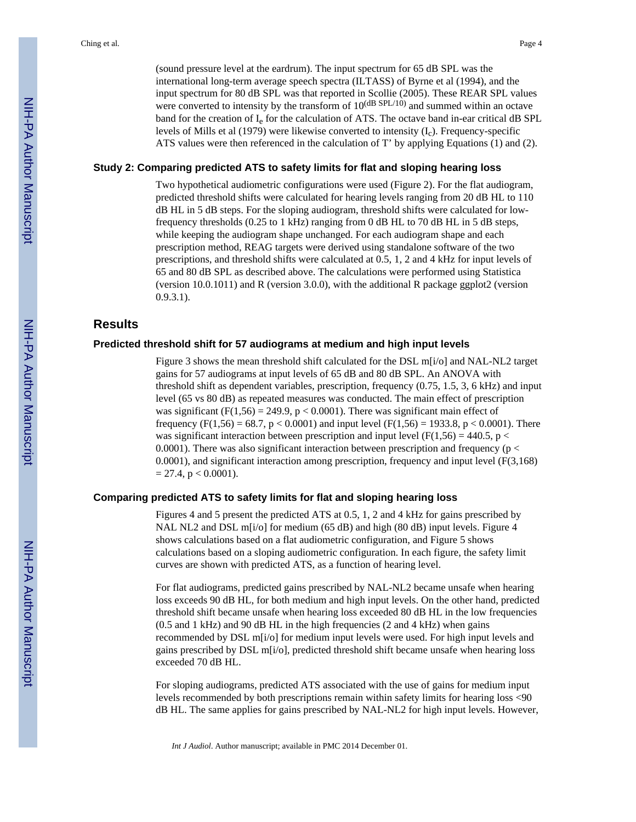(sound pressure level at the eardrum). The input spectrum for 65 dB SPL was the international long-term average speech spectra (ILTASS) of Byrne et al (1994), and the input spectrum for 80 dB SPL was that reported in Scollie (2005). These REAR SPL values were converted to intensity by the transform of  $10^{(dB \text{ SPL}/10)}$  and summed within an octave band for the creation of  $I_e$  for the calculation of ATS. The octave band in-ear critical dB SPL levels of Mills et al (1979) were likewise converted to intensity (I<sub>c</sub>). Frequency-specific ATS values were then referenced in the calculation of T' by applying Equations (1) and (2).

#### **Study 2: Comparing predicted ATS to safety limits for flat and sloping hearing loss**

Two hypothetical audiometric configurations were used (Figure 2). For the flat audiogram, predicted threshold shifts were calculated for hearing levels ranging from 20 dB HL to 110 dB HL in 5 dB steps. For the sloping audiogram, threshold shifts were calculated for lowfrequency thresholds (0.25 to 1 kHz) ranging from 0 dB HL to 70 dB HL in 5 dB steps, while keeping the audiogram shape unchanged. For each audiogram shape and each prescription method, REAG targets were derived using standalone software of the two prescriptions, and threshold shifts were calculated at 0.5, 1, 2 and 4 kHz for input levels of 65 and 80 dB SPL as described above. The calculations were performed using Statistica (version 10.0.1011) and R (version 3.0.0), with the additional R package ggplot2 (version 0.9.3.1).

#### **Results**

#### **Predicted threshold shift for 57 audiograms at medium and high input levels**

Figure 3 shows the mean threshold shift calculated for the DSL m[i/o] and NAL-NL2 target gains for 57 audiograms at input levels of 65 dB and 80 dB SPL. An ANOVA with threshold shift as dependent variables, prescription, frequency (0.75, 1.5, 3, 6 kHz) and input level (65 vs 80 dB) as repeated measures was conducted. The main effect of prescription was significant ( $F(1,56) = 249.9$ ,  $p < 0.0001$ ). There was significant main effect of frequency (F(1,56) = 68.7, p < 0.0001) and input level (F(1,56) = 1933.8, p < 0.0001). There was significant interaction between prescription and input level ( $F(1,56) = 440.5$ , p < 0.0001). There was also significant interaction between prescription and frequency ( $p <$ 0.0001), and significant interaction among prescription, frequency and input level (F(3,168)  $= 27.4$ , p < 0.0001).

#### **Comparing predicted ATS to safety limits for flat and sloping hearing loss**

Figures 4 and 5 present the predicted ATS at 0.5, 1, 2 and 4 kHz for gains prescribed by NAL NL2 and DSL m[i/o] for medium (65 dB) and high (80 dB) input levels. Figure 4 shows calculations based on a flat audiometric configuration, and Figure 5 shows calculations based on a sloping audiometric configuration. In each figure, the safety limit curves are shown with predicted ATS, as a function of hearing level.

For flat audiograms, predicted gains prescribed by NAL-NL2 became unsafe when hearing loss exceeds 90 dB HL, for both medium and high input levels. On the other hand, predicted threshold shift became unsafe when hearing loss exceeded 80 dB HL in the low frequencies  $(0.5$  and 1 kHz) and 90 dB HL in the high frequencies  $(2 \text{ and } 4 \text{ kHz})$  when gains recommended by DSL m[i/o] for medium input levels were used. For high input levels and gains prescribed by DSL m[i/o], predicted threshold shift became unsafe when hearing loss exceeded 70 dB HL.

For sloping audiograms, predicted ATS associated with the use of gains for medium input levels recommended by both prescriptions remain within safety limits for hearing loss <90 dB HL. The same applies for gains prescribed by NAL-NL2 for high input levels. However,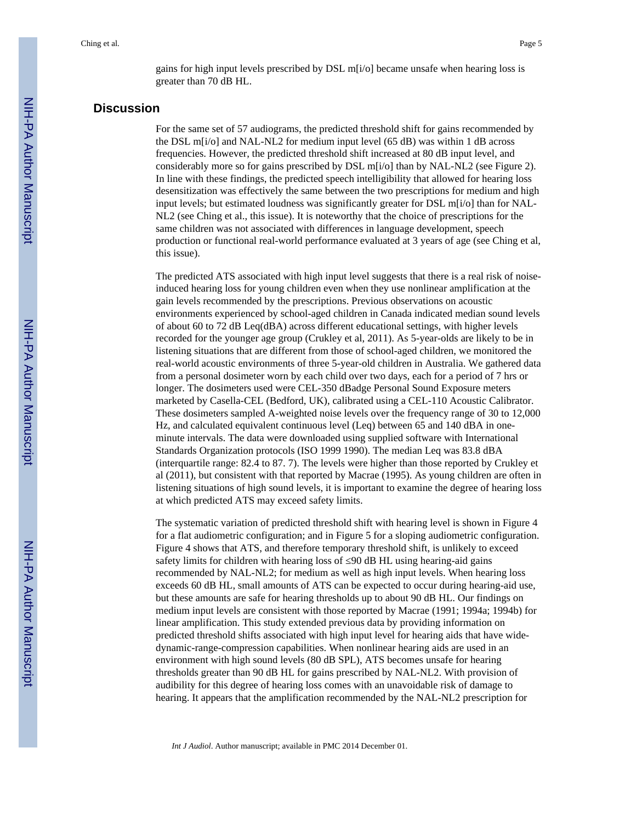gains for high input levels prescribed by DSL m[i/o] became unsafe when hearing loss is greater than 70 dB HL.

#### **Discussion**

For the same set of 57 audiograms, the predicted threshold shift for gains recommended by the DSL m[i/o] and NAL-NL2 for medium input level (65 dB) was within 1 dB across frequencies. However, the predicted threshold shift increased at 80 dB input level, and considerably more so for gains prescribed by DSL m[i/o] than by NAL-NL2 (see Figure 2). In line with these findings, the predicted speech intelligibility that allowed for hearing loss desensitization was effectively the same between the two prescriptions for medium and high input levels; but estimated loudness was significantly greater for DSL m[i/o] than for NAL-NL2 (see Ching et al., this issue). It is noteworthy that the choice of prescriptions for the same children was not associated with differences in language development, speech production or functional real-world performance evaluated at 3 years of age (see Ching et al, this issue).

The predicted ATS associated with high input level suggests that there is a real risk of noiseinduced hearing loss for young children even when they use nonlinear amplification at the gain levels recommended by the prescriptions. Previous observations on acoustic environments experienced by school-aged children in Canada indicated median sound levels of about 60 to 72 dB Leq(dBA) across different educational settings, with higher levels recorded for the younger age group (Crukley et al, 2011). As 5-year-olds are likely to be in listening situations that are different from those of school-aged children, we monitored the real-world acoustic environments of three 5-year-old children in Australia. We gathered data from a personal dosimeter worn by each child over two days, each for a period of 7 hrs or longer. The dosimeters used were CEL-350 dBadge Personal Sound Exposure meters marketed by Casella-CEL (Bedford, UK), calibrated using a CEL-110 Acoustic Calibrator. These dosimeters sampled A-weighted noise levels over the frequency range of 30 to 12,000 Hz, and calculated equivalent continuous level (Leq) between 65 and 140 dBA in oneminute intervals. The data were downloaded using supplied software with International Standards Organization protocols (ISO 1999 1990). The median Leq was 83.8 dBA (interquartile range: 82.4 to 87. 7). The levels were higher than those reported by Crukley et al (2011), but consistent with that reported by Macrae (1995). As young children are often in listening situations of high sound levels, it is important to examine the degree of hearing loss at which predicted ATS may exceed safety limits.

The systematic variation of predicted threshold shift with hearing level is shown in Figure 4 for a flat audiometric configuration; and in Figure 5 for a sloping audiometric configuration. Figure 4 shows that ATS, and therefore temporary threshold shift, is unlikely to exceed safety limits for children with hearing loss of 90 dB HL using hearing-aid gains recommended by NAL-NL2; for medium as well as high input levels. When hearing loss exceeds 60 dB HL, small amounts of ATS can be expected to occur during hearing-aid use, but these amounts are safe for hearing thresholds up to about 90 dB HL. Our findings on medium input levels are consistent with those reported by Macrae (1991; 1994a; 1994b) for linear amplification. This study extended previous data by providing information on predicted threshold shifts associated with high input level for hearing aids that have widedynamic-range-compression capabilities. When nonlinear hearing aids are used in an environment with high sound levels (80 dB SPL), ATS becomes unsafe for hearing thresholds greater than 90 dB HL for gains prescribed by NAL-NL2. With provision of audibility for this degree of hearing loss comes with an unavoidable risk of damage to hearing. It appears that the amplification recommended by the NAL-NL2 prescription for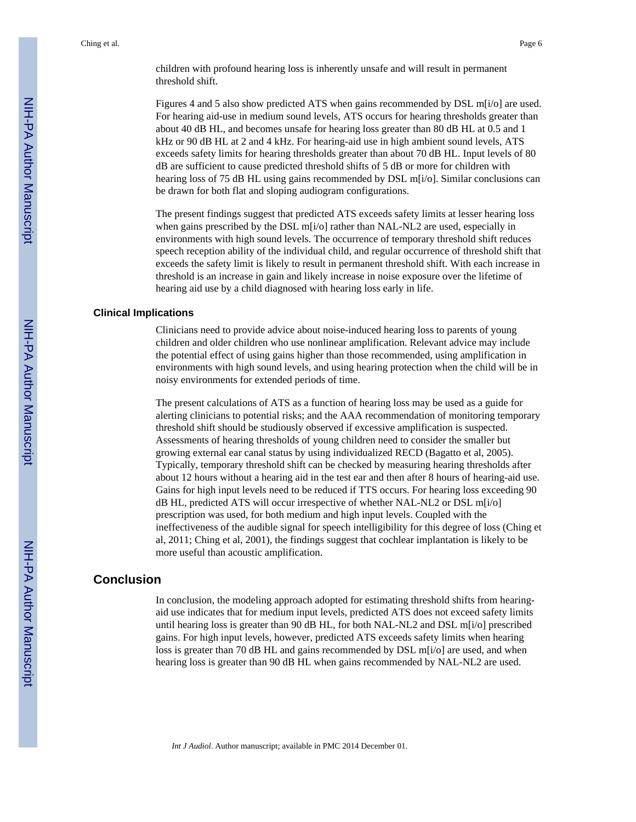children with profound hearing loss is inherently unsafe and will result in permanent threshold shift.

Figures 4 and 5 also show predicted ATS when gains recommended by DSL m[i/o] are used. For hearing aid-use in medium sound levels, ATS occurs for hearing thresholds greater than about 40 dB HL, and becomes unsafe for hearing loss greater than 80 dB HL at 0.5 and 1 kHz or 90 dB HL at 2 and 4 kHz. For hearing-aid use in high ambient sound levels, ATS exceeds safety limits for hearing thresholds greater than about 70 dB HL. Input levels of 80 dB are sufficient to cause predicted threshold shifts of 5 dB or more for children with hearing loss of 75 dB HL using gains recommended by DSL m[i/o]. Similar conclusions can be drawn for both flat and sloping audiogram configurations.

The present findings suggest that predicted ATS exceeds safety limits at lesser hearing loss when gains prescribed by the DSL m[i/o] rather than NAL-NL2 are used, especially in environments with high sound levels. The occurrence of temporary threshold shift reduces speech reception ability of the individual child, and regular occurrence of threshold shift that exceeds the safety limit is likely to result in permanent threshold shift. With each increase in threshold is an increase in gain and likely increase in noise exposure over the lifetime of hearing aid use by a child diagnosed with hearing loss early in life.

#### **Clinical Implications**

Clinicians need to provide advice about noise-induced hearing loss to parents of young children and older children who use nonlinear amplification. Relevant advice may include the potential effect of using gains higher than those recommended, using amplification in environments with high sound levels, and using hearing protection when the child will be in noisy environments for extended periods of time.

The present calculations of ATS as a function of hearing loss may be used as a guide for alerting clinicians to potential risks; and the AAA recommendation of monitoring temporary threshold shift should be studiously observed if excessive amplification is suspected. Assessments of hearing thresholds of young children need to consider the smaller but growing external ear canal status by using individualized RECD (Bagatto et al, 2005). Typically, temporary threshold shift can be checked by measuring hearing thresholds after about 12 hours without a hearing aid in the test ear and then after 8 hours of hearing-aid use. Gains for high input levels need to be reduced if TTS occurs. For hearing loss exceeding 90 dB HL, predicted ATS will occur irrespective of whether NAL-NL2 or DSL m[i/o] prescription was used, for both medium and high input levels. Coupled with the ineffectiveness of the audible signal for speech intelligibility for this degree of loss (Ching et al, 2011; Ching et al, 2001), the findings suggest that cochlear implantation is likely to be more useful than acoustic amplification.

#### **Conclusion**

In conclusion, the modeling approach adopted for estimating threshold shifts from hearingaid use indicates that for medium input levels, predicted ATS does not exceed safety limits until hearing loss is greater than 90 dB HL, for both NAL-NL2 and DSL m[i/o] prescribed gains. For high input levels, however, predicted ATS exceeds safety limits when hearing loss is greater than 70 dB HL and gains recommended by DSL m[i/o] are used, and when hearing loss is greater than 90 dB HL when gains recommended by NAL-NL2 are used.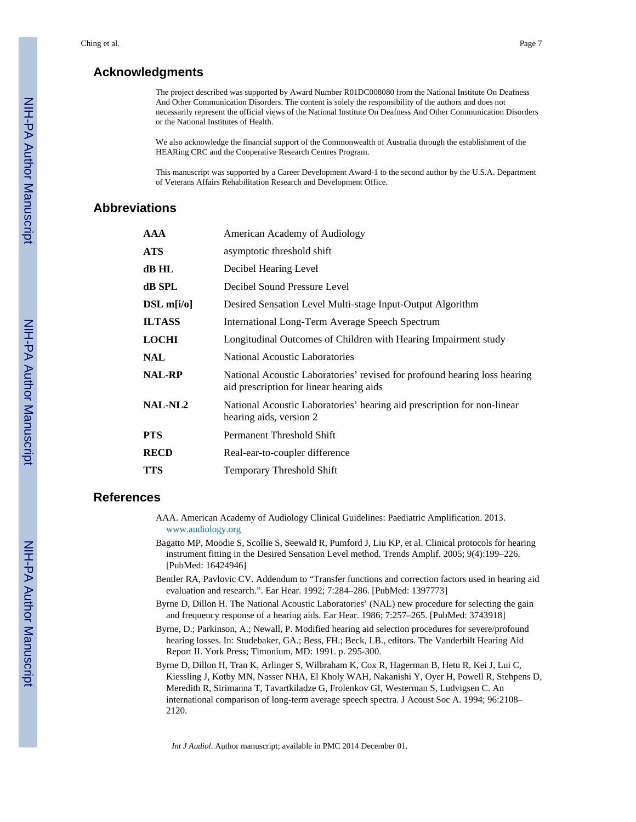#### **Acknowledgments**

The project described was supported by Award Number R01DC008080 from the National Institute On Deafness And Other Communication Disorders. The content is solely the responsibility of the authors and does not necessarily represent the official views of the National Institute On Deafness And Other Communication Disorders or the National Institutes of Health.

We also acknowledge the financial support of the Commonwealth of Australia through the establishment of the HEARing CRC and the Cooperative Research Centres Program.

This manuscript was supported by a Career Development Award-1 to the second author by the U.S.A. Department of Veterans Affairs Rehabilitation Research and Development Office.

### **Abbreviations**

| <b>AAA</b>           | American Academy of Audiology                                                                                         |
|----------------------|-----------------------------------------------------------------------------------------------------------------------|
| <b>ATS</b>           | asymptotic threshold shift                                                                                            |
| dB HL                | Decibel Hearing Level                                                                                                 |
| dB SPL               | Decibel Sound Pressure Level                                                                                          |
| $DSL \text{ m}[i/o]$ | Desired Sensation Level Multi-stage Input-Output Algorithm                                                            |
| <b>ILTASS</b>        | International Long-Term Average Speech Spectrum                                                                       |
| <b>LOCHI</b>         | Longitudinal Outcomes of Children with Hearing Impairment study                                                       |
| <b>NAL</b>           | National Acoustic Laboratories                                                                                        |
| <b>NAL-RP</b>        | National Acoustic Laboratories' revised for profound hearing loss hearing<br>aid prescription for linear hearing aids |
| <b>NAL-NL2</b>       | National Acoustic Laboratories' hearing aid prescription for non-linear<br>hearing aids, version 2                    |
| <b>PTS</b>           | Permanent Threshold Shift                                                                                             |
| <b>RECD</b>          | Real-ear-to-coupler difference                                                                                        |
| <b>TTS</b>           | <b>Temporary Threshold Shift</b>                                                                                      |

#### **References**

AAA. American Academy of Audiology Clinical Guidelines: Paediatric Amplification. 2013. [www.audiology.org](http://www.audiology.org)

- Bagatto MP, Moodie S, Scollie S, Seewald R, Pumford J, Liu KP, et al. Clinical protocols for hearing instrument fitting in the Desired Sensation Level method. Trends Amplif. 2005; 9(4):199–226. [PubMed: 16424946]
- Bentler RA, Pavlovic CV. Addendum to "Transfer functions and correction factors used in hearing aid evaluation and research.". Ear Hear. 1992; 7:284–286. [PubMed: 1397773]
- Byrne D, Dillon H. The National Acoustic Laboratories' (NAL) new procedure for selecting the gain and frequency response of a hearing aids. Ear Hear. 1986; 7:257–265. [PubMed: 3743918]
- Byrne, D.; Parkinson, A.; Newall, P. Modified hearing aid selection procedures for severe/profound hearing losses. In: Studebaker, GA.; Bess, FH.; Beck, LB., editors. The Vanderbilt Hearing Aid Report II. York Press; Timonium, MD: 1991. p. 295-300.

Byrne D, Dillon H, Tran K, Arlinger S, Wilbraham K, Cox R, Hagerman B, Hetu R, Kei J, Lui C, Kiessling J, Kotby MN, Nasser NHA, El Kholy WAH, Nakanishi Y, Oyer H, Powell R, Stehpens D, Meredith R, Sirimanna T, Tavartkiladze G, Frolenkov GI, Westerman S, Ludvigsen C. An international comparison of long-term average speech spectra. J Acoust Soc A. 1994; 96:2108– 2120.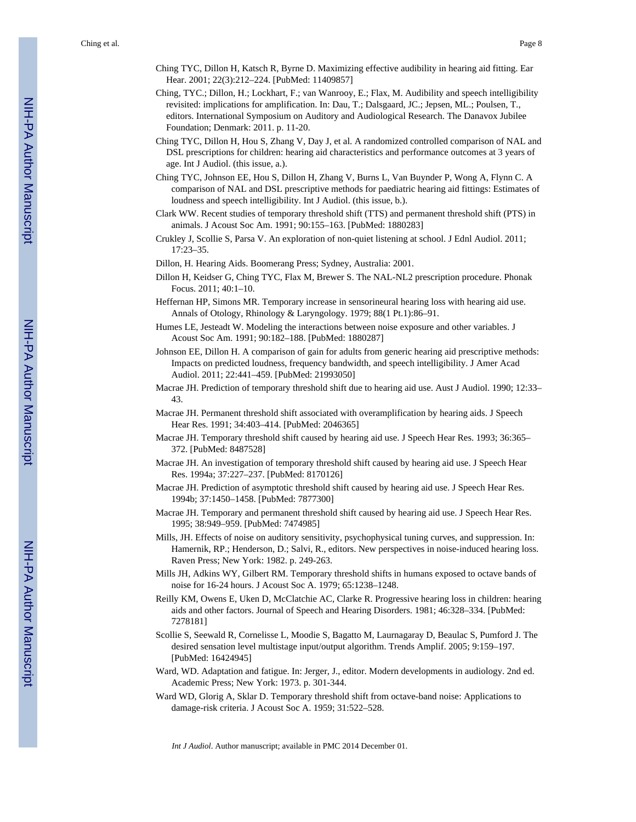- Ching TYC, Dillon H, Katsch R, Byrne D. Maximizing effective audibility in hearing aid fitting. Ear Hear. 2001; 22(3):212–224. [PubMed: 11409857]
- Ching, TYC.; Dillon, H.; Lockhart, F.; van Wanrooy, E.; Flax, M. Audibility and speech intelligibility revisited: implications for amplification. In: Dau, T.; Dalsgaard, JC.; Jepsen, ML.; Poulsen, T., editors. International Symposium on Auditory and Audiological Research. The Danavox Jubilee Foundation; Denmark: 2011. p. 11-20.
- Ching TYC, Dillon H, Hou S, Zhang V, Day J, et al. A randomized controlled comparison of NAL and DSL prescriptions for children: hearing aid characteristics and performance outcomes at 3 years of age. Int J Audiol. (this issue, a.).
- Ching TYC, Johnson EE, Hou S, Dillon H, Zhang V, Burns L, Van Buynder P, Wong A, Flynn C. A comparison of NAL and DSL prescriptive methods for paediatric hearing aid fittings: Estimates of loudness and speech intelligibility. Int J Audiol. (this issue, b.).
- Clark WW. Recent studies of temporary threshold shift (TTS) and permanent threshold shift (PTS) in animals. J Acoust Soc Am. 1991; 90:155–163. [PubMed: 1880283]
- Crukley J, Scollie S, Parsa V. An exploration of non-quiet listening at school. J Ednl Audiol. 2011; 17:23–35.
- Dillon, H. Hearing Aids. Boomerang Press; Sydney, Australia: 2001.
- Dillon H, Keidser G, Ching TYC, Flax M, Brewer S. The NAL-NL2 prescription procedure. Phonak Focus. 2011; 40:1–10.
- Heffernan HP, Simons MR. Temporary increase in sensorineural hearing loss with hearing aid use. Annals of Otology, Rhinology & Laryngology. 1979; 88(1 Pt.1):86–91.
- Humes LE, Jesteadt W. Modeling the interactions between noise exposure and other variables. J Acoust Soc Am. 1991; 90:182–188. [PubMed: 1880287]
- Johnson EE, Dillon H. A comparison of gain for adults from generic hearing aid prescriptive methods: Impacts on predicted loudness, frequency bandwidth, and speech intelligibility. J Amer Acad Audiol. 2011; 22:441–459. [PubMed: 21993050]
- Macrae JH. Prediction of temporary threshold shift due to hearing aid use. Aust J Audiol. 1990; 12:33– 43.
- Macrae JH. Permanent threshold shift associated with overamplification by hearing aids. J Speech Hear Res. 1991; 34:403–414. [PubMed: 2046365]
- Macrae JH. Temporary threshold shift caused by hearing aid use. J Speech Hear Res. 1993; 36:365– 372. [PubMed: 8487528]
- Macrae JH. An investigation of temporary threshold shift caused by hearing aid use. J Speech Hear Res. 1994a; 37:227–237. [PubMed: 8170126]
- Macrae JH. Prediction of asymptotic threshold shift caused by hearing aid use. J Speech Hear Res. 1994b; 37:1450–1458. [PubMed: 7877300]
- Macrae JH. Temporary and permanent threshold shift caused by hearing aid use. J Speech Hear Res. 1995; 38:949–959. [PubMed: 7474985]
- Mills, JH. Effects of noise on auditory sensitivity, psychophysical tuning curves, and suppression. In: Hamernik, RP.; Henderson, D.; Salvi, R., editors. New perspectives in noise-induced hearing loss. Raven Press; New York: 1982. p. 249-263.
- Mills JH, Adkins WY, Gilbert RM. Temporary threshold shifts in humans exposed to octave bands of noise for 16-24 hours. J Acoust Soc A. 1979; 65:1238–1248.
- Reilly KM, Owens E, Uken D, McClatchie AC, Clarke R. Progressive hearing loss in children: hearing aids and other factors. Journal of Speech and Hearing Disorders. 1981; 46:328–334. [PubMed: 7278181]
- Scollie S, Seewald R, Cornelisse L, Moodie S, Bagatto M, Laurnagaray D, Beaulac S, Pumford J. The desired sensation level multistage input/output algorithm. Trends Amplif. 2005; 9:159–197. [PubMed: 16424945]
- Ward, WD. Adaptation and fatigue. In: Jerger, J., editor. Modern developments in audiology. 2nd ed. Academic Press; New York: 1973. p. 301-344.
- Ward WD, Glorig A, Sklar D. Temporary threshold shift from octave-band noise: Applications to damage-risk criteria. J Acoust Soc A. 1959; 31:522–528.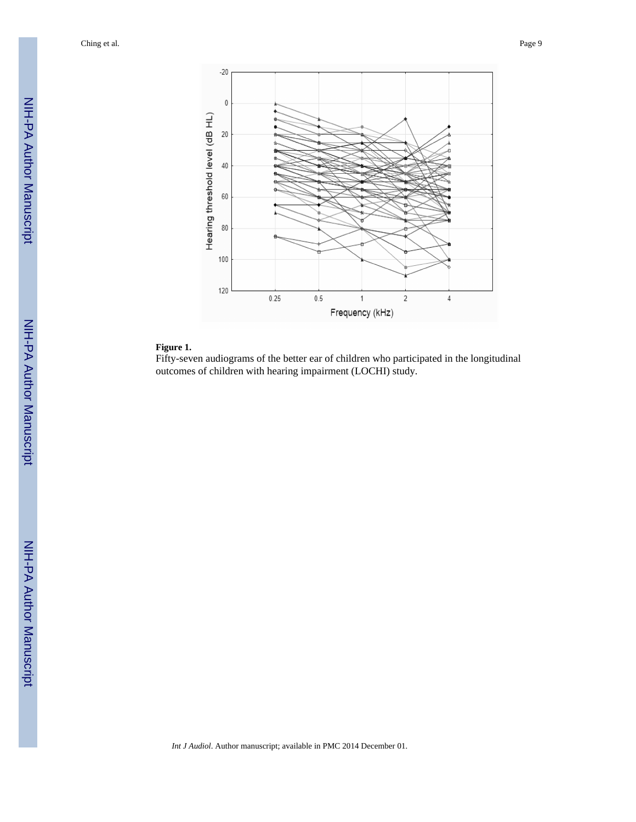

#### **Figure 1.**

Fifty-seven audiograms of the better ear of children who participated in the longitudinal outcomes of children with hearing impairment (LOCHI) study.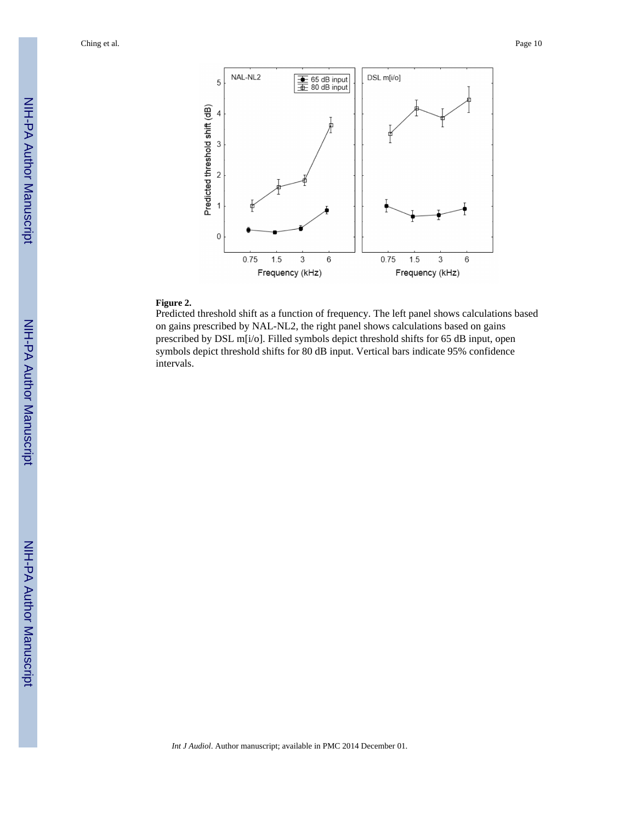

#### **Figure 2.**

Predicted threshold shift as a function of frequency. The left panel shows calculations based on gains prescribed by NAL-NL2, the right panel shows calculations based on gains prescribed by DSL m[i/o]. Filled symbols depict threshold shifts for 65 dB input, open symbols depict threshold shifts for 80 dB input. Vertical bars indicate 95% confidence intervals.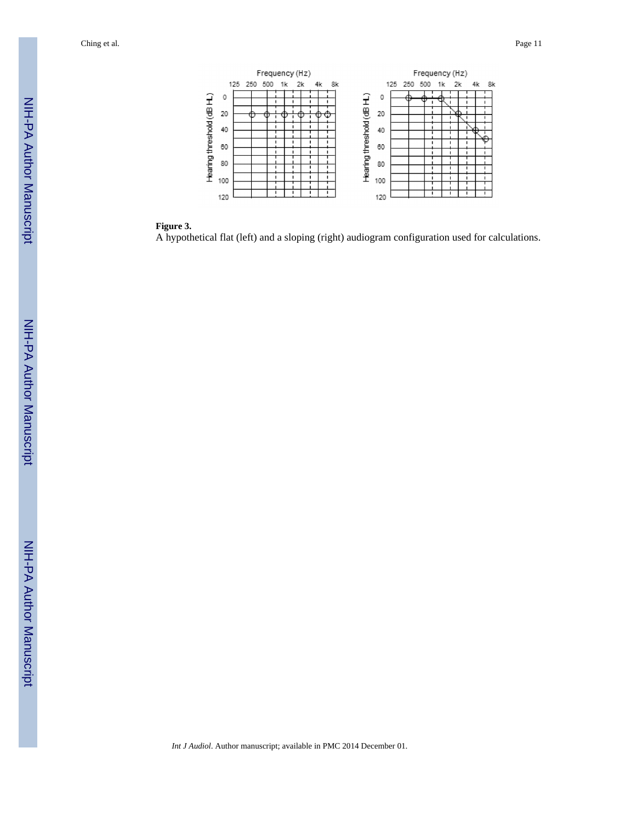

#### **Figure 3.**

A hypothetical flat (left) and a sloping (right) audiogram configuration used for calculations.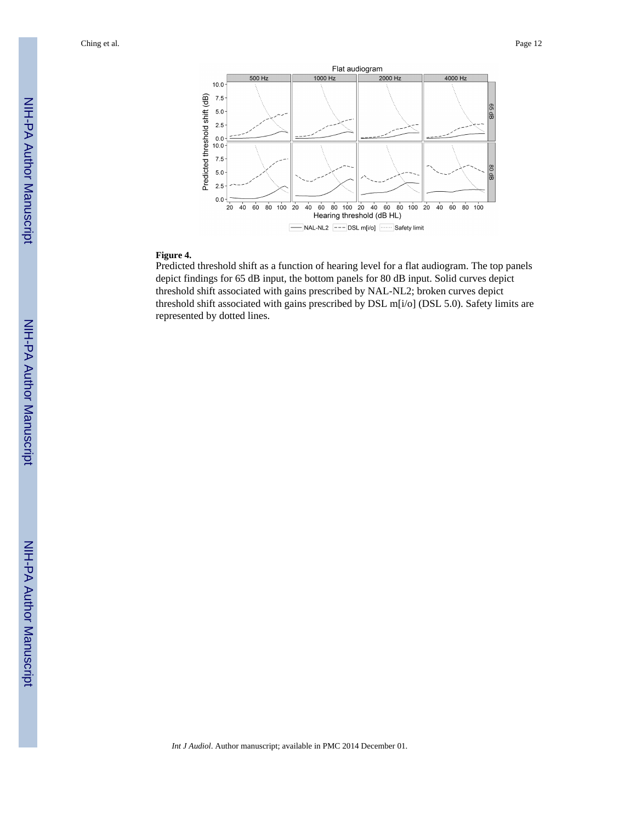

#### **Figure 4.**

Predicted threshold shift as a function of hearing level for a flat audiogram. The top panels depict findings for 65 dB input, the bottom panels for 80 dB input. Solid curves depict threshold shift associated with gains prescribed by NAL-NL2; broken curves depict threshold shift associated with gains prescribed by DSL m[i/o] (DSL 5.0). Safety limits are represented by dotted lines.